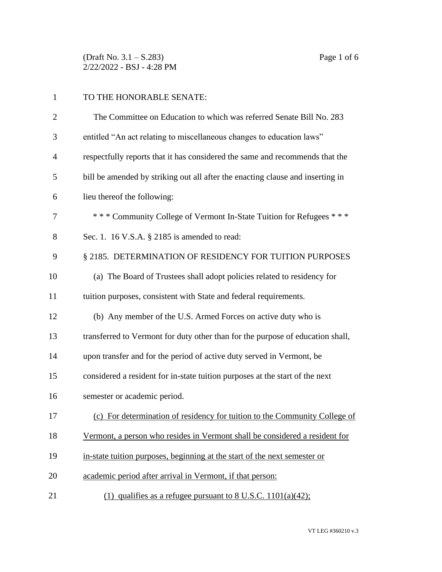(Draft No. 3.1 – S.283) Page 1 of 6 2/22/2022 - BSJ - 4:28 PM

| $\mathbf{1}$   | TO THE HONORABLE SENATE:                                                       |
|----------------|--------------------------------------------------------------------------------|
| $\overline{2}$ | The Committee on Education to which was referred Senate Bill No. 283           |
| 3              | entitled "An act relating to miscellaneous changes to education laws"          |
| 4              | respectfully reports that it has considered the same and recommends that the   |
| 5              | bill be amended by striking out all after the enacting clause and inserting in |
| 6              | lieu thereof the following:                                                    |
| 7              | *** Community College of Vermont In-State Tuition for Refugees ***             |
| 8              | Sec. 1. 16 V.S.A. § 2185 is amended to read:                                   |
| 9              | § 2185. DETERMINATION OF RESIDENCY FOR TUITION PURPOSES                        |
| 10             | (a) The Board of Trustees shall adopt policies related to residency for        |
| 11             | tuition purposes, consistent with State and federal requirements.              |
| 12             | (b) Any member of the U.S. Armed Forces on active duty who is                  |
| 13             | transferred to Vermont for duty other than for the purpose of education shall, |
| 14             | upon transfer and for the period of active duty served in Vermont, be          |
| 15             | considered a resident for in-state tuition purposes at the start of the next   |
| 16             | semester or academic period.                                                   |
| 17             | (c) For determination of residency for tuition to the Community College of     |
| 18             | Vermont, a person who resides in Vermont shall be considered a resident for    |
| 19             | in-state tuition purposes, beginning at the start of the next semester or      |
| 20             | academic period after arrival in Vermont, if that person:                      |
|                |                                                                                |

21 (1) qualifies as a refugee pursuant to 8 U.S.C. 1101(a)(42);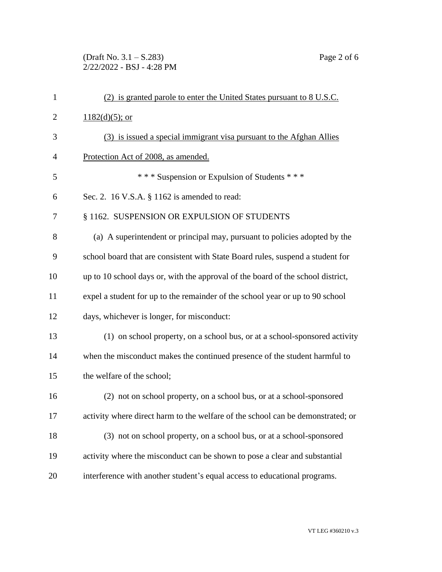(Draft No. 3.1 – S.283) Page 2 of 6 2/22/2022 - BSJ - 4:28 PM

| $\mathbf{1}$   | (2) is granted parole to enter the United States pursuant to 8 U.S.C.           |
|----------------|---------------------------------------------------------------------------------|
| $\overline{2}$ | $1182(d)(5)$ ; or                                                               |
| 3              | (3) is issued a special immigrant visa pursuant to the Afghan Allies            |
| $\overline{4}$ | Protection Act of 2008, as amended.                                             |
| 5              | *** Suspension or Expulsion of Students ***                                     |
| 6              | Sec. 2. 16 V.S.A. § 1162 is amended to read:                                    |
| 7              | § 1162. SUSPENSION OR EXPULSION OF STUDENTS                                     |
| 8              | (a) A superintendent or principal may, pursuant to policies adopted by the      |
| 9              | school board that are consistent with State Board rules, suspend a student for  |
| 10             | up to 10 school days or, with the approval of the board of the school district, |
| 11             | expel a student for up to the remainder of the school year or up to 90 school   |
| 12             | days, whichever is longer, for misconduct:                                      |
| 13             | (1) on school property, on a school bus, or at a school-sponsored activity      |
| 14             | when the misconduct makes the continued presence of the student harmful to      |
| 15             | the welfare of the school;                                                      |
| 16             | (2) not on school property, on a school bus, or at a school-sponsored           |
| 17             | activity where direct harm to the welfare of the school can be demonstrated; or |
| 18             | (3) not on school property, on a school bus, or at a school-sponsored           |
| 19             | activity where the misconduct can be shown to pose a clear and substantial      |
| 20             | interference with another student's equal access to educational programs.       |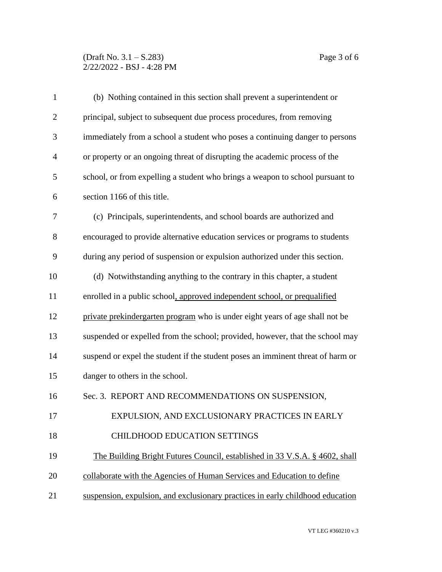## (Draft No. 3.1 – S.283) Page 3 of 6 2/22/2022 - BSJ - 4:28 PM

| $\mathbf{1}$   | (b) Nothing contained in this section shall prevent a superintendent or         |
|----------------|---------------------------------------------------------------------------------|
| $\overline{2}$ | principal, subject to subsequent due process procedures, from removing          |
| 3              | immediately from a school a student who poses a continuing danger to persons    |
| $\overline{4}$ | or property or an ongoing threat of disrupting the academic process of the      |
| 5              | school, or from expelling a student who brings a weapon to school pursuant to   |
| 6              | section 1166 of this title.                                                     |
| 7              | (c) Principals, superintendents, and school boards are authorized and           |
| 8              | encouraged to provide alternative education services or programs to students    |
| 9              | during any period of suspension or expulsion authorized under this section.     |
| 10             | (d) Notwithstanding anything to the contrary in this chapter, a student         |
| 11             | enrolled in a public school, approved independent school, or prequalified       |
| 12             | private prekindergarten program who is under eight years of age shall not be    |
| 13             | suspended or expelled from the school; provided, however, that the school may   |
| 14             | suspend or expel the student if the student poses an imminent threat of harm or |
| 15             | danger to others in the school.                                                 |
| 16             | Sec. 3. REPORT AND RECOMMENDATIONS ON SUSPENSION,                               |
| 17             | EXPULSION, AND EXCLUSIONARY PRACTICES IN EARLY                                  |
| 18             | <b>CHILDHOOD EDUCATION SETTINGS</b>                                             |
| 19             | The Building Bright Futures Council, established in 33 V.S.A. § 4602, shall     |
| 20             | collaborate with the Agencies of Human Services and Education to define         |
| 21             | suspension, expulsion, and exclusionary practices in early childhood education  |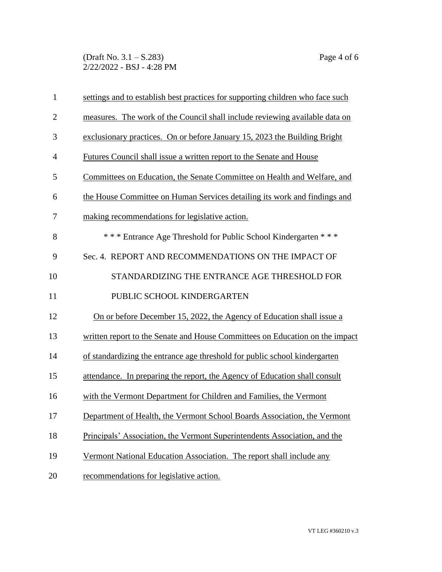(Draft No. 3.1 – S.283) Page 4 of 6 2/22/2022 - BSJ - 4:28 PM

| $\mathbf{1}$   | settings and to establish best practices for supporting children who face such |
|----------------|--------------------------------------------------------------------------------|
| $\overline{2}$ | measures. The work of the Council shall include reviewing available data on    |
| 3              | exclusionary practices. On or before January 15, 2023 the Building Bright      |
| $\overline{4}$ | Futures Council shall issue a written report to the Senate and House           |
| 5              | Committees on Education, the Senate Committee on Health and Welfare, and       |
| 6              | the House Committee on Human Services detailing its work and findings and      |
| 7              | making recommendations for legislative action.                                 |
| 8              | *** Entrance Age Threshold for Public School Kindergarten ***                  |
| 9              | Sec. 4. REPORT AND RECOMMENDATIONS ON THE IMPACT OF                            |
| 10             | STANDARDIZING THE ENTRANCE AGE THRESHOLD FOR                                   |
| 11             | PUBLIC SCHOOL KINDERGARTEN                                                     |
| 12             | On or before December 15, 2022, the Agency of Education shall issue a          |
| 13             | written report to the Senate and House Committees on Education on the impact   |
| 14             | of standardizing the entrance age threshold for public school kindergarten     |
| 15             | attendance. In preparing the report, the Agency of Education shall consult     |
| 16             | with the Vermont Department for Children and Families, the Vermont             |
| 17             | Department of Health, the Vermont School Boards Association, the Vermont       |
| 18             | Principals' Association, the Vermont Superintendents Association, and the      |
| 19             | Vermont National Education Association. The report shall include any           |
| 20             | recommendations for legislative action.                                        |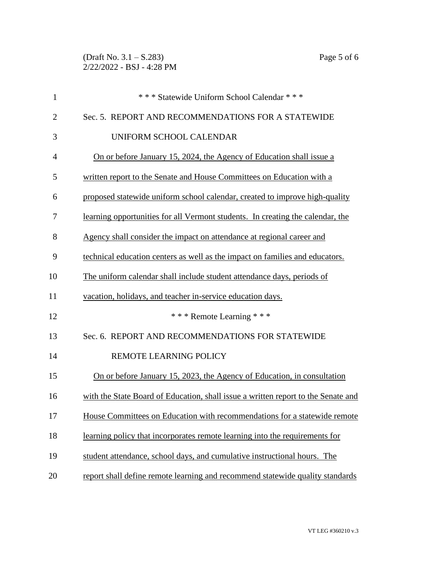| $\mathbf{1}$   | *** Statewide Uniform School Calendar ***                                         |
|----------------|-----------------------------------------------------------------------------------|
| $\overline{2}$ | Sec. 5. REPORT AND RECOMMENDATIONS FOR A STATEWIDE                                |
| 3              | UNIFORM SCHOOL CALENDAR                                                           |
| $\overline{4}$ | On or before January 15, 2024, the Agency of Education shall issue a              |
| 5              | written report to the Senate and House Committees on Education with a             |
| 6              | proposed statewide uniform school calendar, created to improve high-quality       |
| 7              | learning opportunities for all Vermont students. In creating the calendar, the    |
| 8              | Agency shall consider the impact on attendance at regional career and             |
| 9              | technical education centers as well as the impact on families and educators.      |
| 10             | The uniform calendar shall include student attendance days, periods of            |
| 11             | vacation, holidays, and teacher in-service education days.                        |
| 12             | *** Remote Learning ***                                                           |
| 13             | Sec. 6. REPORT AND RECOMMENDATIONS FOR STATEWIDE                                  |
| 14             | REMOTE LEARNING POLICY                                                            |
| 15             | On or before January 15, 2023, the Agency of Education, in consultation           |
| 16             | with the State Board of Education, shall issue a written report to the Senate and |
| 17             | House Committees on Education with recommendations for a statewide remote         |
| 18             | learning policy that incorporates remote learning into the requirements for       |
| 19             | student attendance, school days, and cumulative instructional hours. The          |
| 20             | report shall define remote learning and recommend statewide quality standards     |